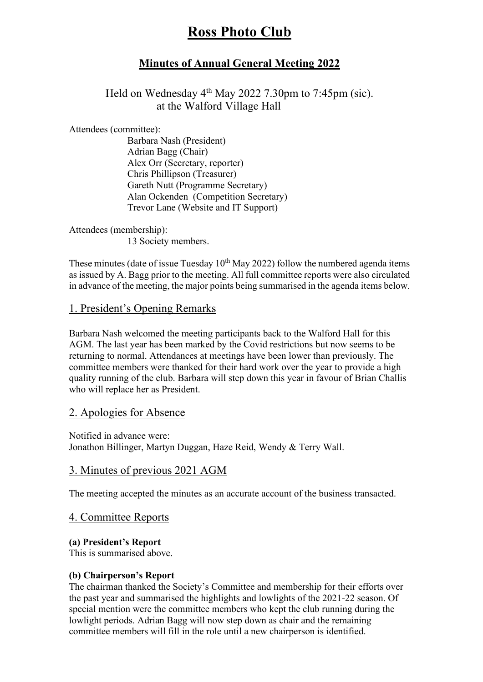# **Ross Photo Club**

# **Minutes of Annual General Meeting 2022**

Held on Wednesday  $4<sup>th</sup>$  May 2022 7.30pm to 7:45pm (sic). at the Walford Village Hall

Attendees (committee):

Barbara Nash (President) Adrian Bagg (Chair) Alex Orr (Secretary, reporter) Chris Phillipson (Treasurer) Gareth Nutt (Programme Secretary) Alan Ockenden (Competition Secretary) Trevor Lane (Website and IT Support)

Attendees (membership): 13 Society members.

These minutes (date of issue Tuesday  $10^{th}$  May 2022) follow the numbered agenda items as issued by A. Bagg prior to the meeting. All full committee reports were also circulated in advance of the meeting, the major points being summarised in the agenda items below.

#### 1. President's Opening Remarks

Barbara Nash welcomed the meeting participants back to the Walford Hall for this AGM. The last year has been marked by the Covid restrictions but now seems to be returning to normal. Attendances at meetings have been lower than previously. The committee members were thanked for their hard work over the year to provide a high quality running of the club. Barbara will step down this year in favour of Brian Challis who will replace her as President.

#### 2. Apologies for Absence

Notified in advance were: Jonathon Billinger, Martyn Duggan, Haze Reid, Wendy & Terry Wall.

#### 3. Minutes of previous 2021 AGM

The meeting accepted the minutes as an accurate account of the business transacted.

#### 4. Committee Reports

#### **(a) President's Report**

This is summarised above.

#### **(b) Chairperson's Report**

The chairman thanked the Society's Committee and membership for their efforts over the past year and summarised the highlights and lowlights of the 2021-22 season. Of special mention were the committee members who kept the club running during the lowlight periods. Adrian Bagg will now step down as chair and the remaining committee members will fill in the role until a new chairperson is identified.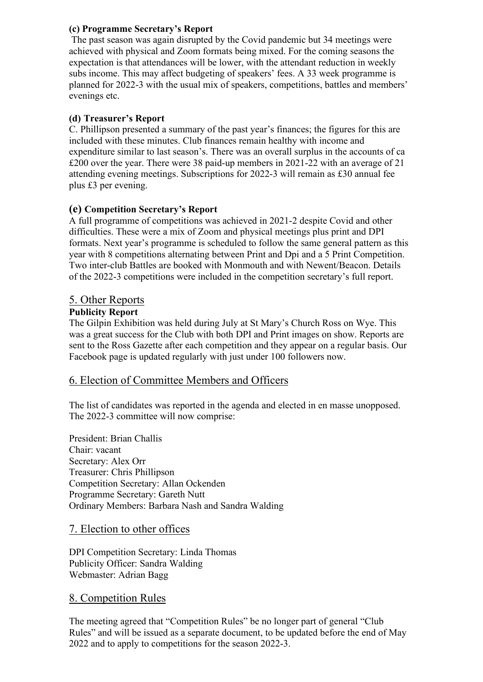#### **(c) Programme Secretary's Report**

 The past season was again disrupted by the Covid pandemic but 34 meetings were achieved with physical and Zoom formats being mixed. For the coming seasons the expectation is that attendances will be lower, with the attendant reduction in weekly subs income. This may affect budgeting of speakers' fees. A 33 week programme is planned for 2022-3 with the usual mix of speakers, competitions, battles and members' evenings etc.

### **(d) Treasurer's Report**

C. Phillipson presented a summary of the past year's finances; the figures for this are included with these minutes. Club finances remain healthy with income and expenditure similar to last season's. There was an overall surplus in the accounts of ca £200 over the year. There were 38 paid-up members in 2021-22 with an average of 21 attending evening meetings. Subscriptions for 2022-3 will remain as £30 annual fee plus £3 per evening.

## **(e) Competition Secretary's Report**

A full programme of competitions was achieved in 2021-2 despite Covid and other difficulties. These were a mix of Zoom and physical meetings plus print and DPI formats. Next year's programme is scheduled to follow the same general pattern as this year with 8 competitions alternating between Print and Dpi and a 5 Print Competition. Two inter-club Battles are booked with Monmouth and with Newent/Beacon. Details of the 2022-3 competitions were included in the competition secretary's full report.

# 5. Other Reports

#### **Publicity Report**

The Gilpin Exhibition was held during July at St Mary's Church Ross on Wye. This was a great success for the Club with both DPI and Print images on show. Reports are sent to the Ross Gazette after each competition and they appear on a regular basis. Our Facebook page is updated regularly with just under 100 followers now.

# 6. Election of Committee Members and Officers

The list of candidates was reported in the agenda and elected in en masse unopposed. The 2022-3 committee will now comprise:

President: Brian Challis Chair: vacant Secretary: Alex Orr Treasurer: Chris Phillipson Competition Secretary: Allan Ockenden Programme Secretary: Gareth Nutt Ordinary Members: Barbara Nash and Sandra Walding

#### 7. Election to other offices

DPI Competition Secretary: Linda Thomas Publicity Officer: Sandra Walding Webmaster: Adrian Bagg

#### 8. Competition Rules

The meeting agreed that "Competition Rules" be no longer part of general "Club Rules" and will be issued as a separate document, to be updated before the end of May 2022 and to apply to competitions for the season 2022-3.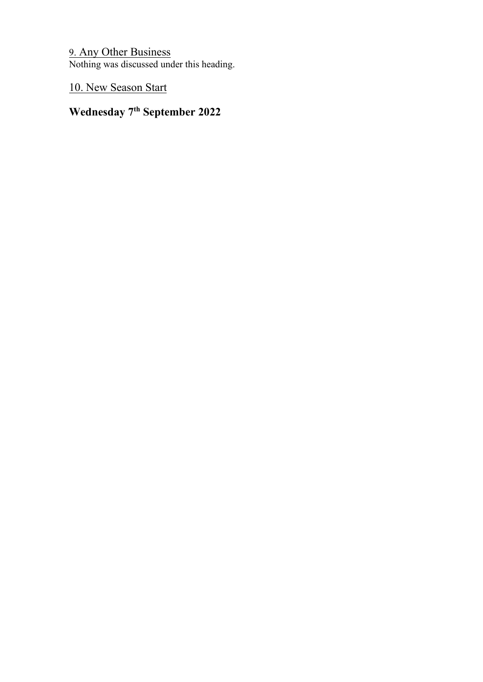9. Any Other Business Nothing was discussed under this heading.

10. New Season Start

# **Wednesday 7th September 2022**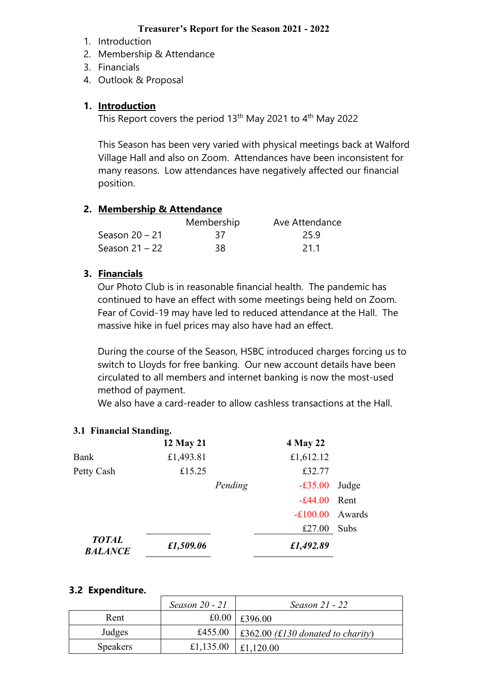#### **Treasurer's Report for the Season 2021 - 2022**

- 1. Introduction
- 2. Membership & Attendance
- 3. Financials
- 4. Outlook & Proposal

### **1. Introduction**

This Report covers the period 13<sup>th</sup> May 2021 to 4<sup>th</sup> May 2022

This Season has been very varied with physical meetings back at Walford Village Hall and also on Zoom. Attendances have been inconsistent for many reasons. Low attendances have negatively affected our financial position.

## **2. Membership & Attendance**

|                  | Membership | Ave Attendance |
|------------------|------------|----------------|
| Season $20 - 21$ | 37         | 25.9           |
| Season $21 - 22$ | 38.        | 21.1           |

## **3. Financials**

Our Photo Club is in reasonable financial health. The pandemic has continued to have an effect with some meetings being held on Zoom. Fear of Covid-19 may have led to reduced attendance at the Hall. The massive hike in fuel prices may also have had an effect.

During the course of the Season, HSBC introduced charges forcing us to switch to Lloyds for free banking. Our new account details have been circulated to all members and internet banking is now the most-used method of payment.

We also have a card-reader to allow cashless transactions at the Hall.

# **3.1 Financial Standing.**

|                                | 12 May 21 |         | <b>4 May 22</b> |        |
|--------------------------------|-----------|---------|-----------------|--------|
| Bank                           | £1,493.81 |         | £1,612.12       |        |
| Petty Cash                     | £15.25    |         | £32.77          |        |
|                                |           | Pending | $-£35.00$       | Judge  |
|                                |           |         | $-£44.00$       | Rent   |
|                                |           |         | $-£100.00$      | Awards |
|                                |           |         | £27.00          | Subs   |
| <b>TOTAL</b><br><b>BALANCE</b> | £1,509.06 |         | £1,492.89       |        |

#### **3.2 Expenditure.**

|                 | Season 20 - 21 | Season 21 - 22                            |
|-----------------|----------------|-------------------------------------------|
| Rent            | £0.00          | £396.00                                   |
| Judges          | £455.00        | $\vert$ £362.00 (£130 donated to charity) |
| <b>Speakers</b> | £1,135.00      | £1,120.00                                 |